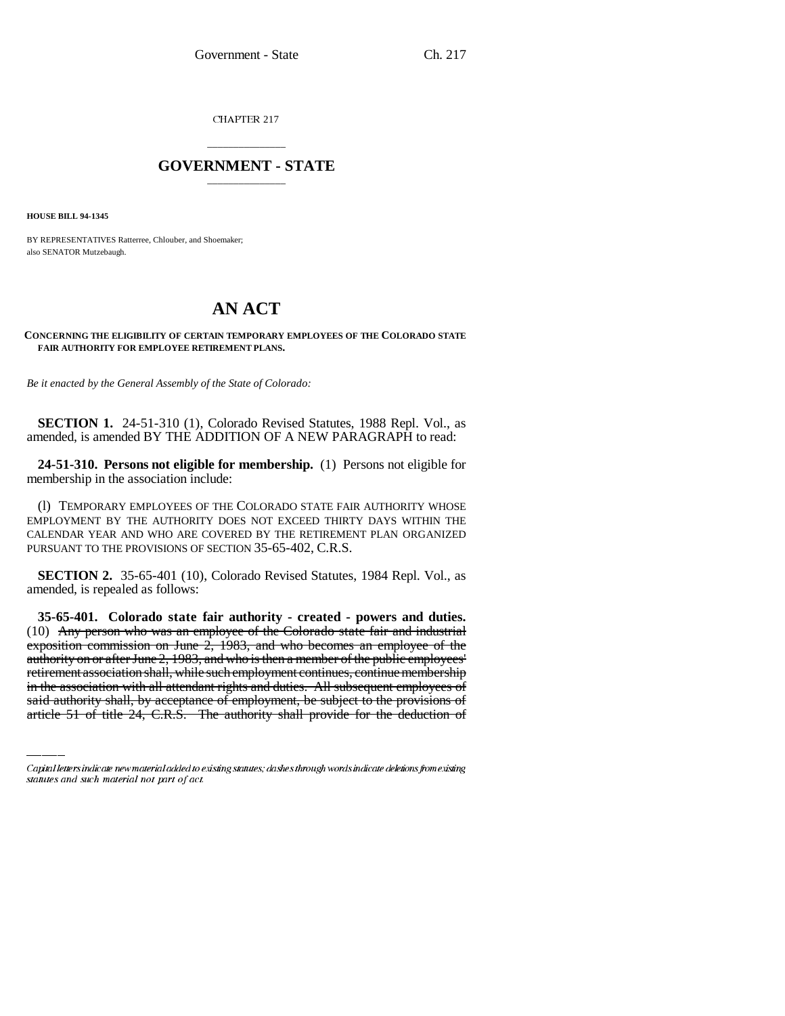CHAPTER 217

## \_\_\_\_\_\_\_\_\_\_\_\_\_\_\_ **GOVERNMENT - STATE** \_\_\_\_\_\_\_\_\_\_\_\_\_\_\_

**HOUSE BILL 94-1345**

BY REPRESENTATIVES Ratterree, Chlouber, and Shoemaker; also SENATOR Mutzebaugh.

## **AN ACT**

## **CONCERNING THE ELIGIBILITY OF CERTAIN TEMPORARY EMPLOYEES OF THE COLORADO STATE FAIR AUTHORITY FOR EMPLOYEE RETIREMENT PLANS.**

*Be it enacted by the General Assembly of the State of Colorado:*

**SECTION 1.** 24-51-310 (1), Colorado Revised Statutes, 1988 Repl. Vol., as amended, is amended BY THE ADDITION OF A NEW PARAGRAPH to read:

**24-51-310. Persons not eligible for membership.** (1) Persons not eligible for membership in the association include:

(l) TEMPORARY EMPLOYEES OF THE COLORADO STATE FAIR AUTHORITY WHOSE EMPLOYMENT BY THE AUTHORITY DOES NOT EXCEED THIRTY DAYS WITHIN THE CALENDAR YEAR AND WHO ARE COVERED BY THE RETIREMENT PLAN ORGANIZED PURSUANT TO THE PROVISIONS OF SECTION 35-65-402, C.R.S.

**SECTION 2.** 35-65-401 (10), Colorado Revised Statutes, 1984 Repl. Vol., as amended, is repealed as follows:

authority on or after June 2, 1983, and who is then a member of the public employees' **35-65-401. Colorado state fair authority - created - powers and duties.** (10) Any person who was an employee of the Colorado state fair and industrial exposition commission on June 2, 1983, and who becomes an employee of the retirement association shall, while such employment continues, continue membership in the association with all attendant rights and duties. All subsequent employees of said authority shall, by acceptance of employment, be subject to the provisions of article 51 of title 24, C.R.S. The authority shall provide for the deduction of

Capital letters indicate new material added to existing statutes; dashes through words indicate deletions from existing statutes and such material not part of act.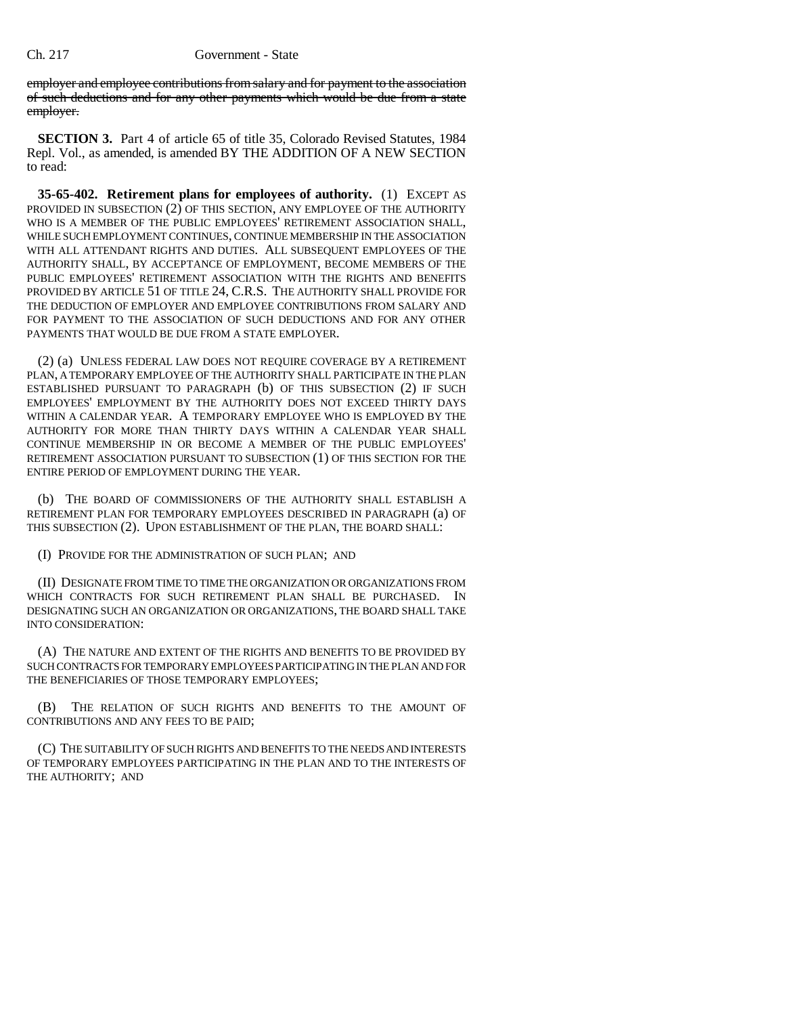employer and employee contributions from salary and for payment to the association of such deductions and for any other payments which would be due from a state employer.

**SECTION 3.** Part 4 of article 65 of title 35, Colorado Revised Statutes, 1984 Repl. Vol., as amended, is amended BY THE ADDITION OF A NEW SECTION to read:

**35-65-402. Retirement plans for employees of authority.** (1) EXCEPT AS PROVIDED IN SUBSECTION (2) OF THIS SECTION, ANY EMPLOYEE OF THE AUTHORITY WHO IS A MEMBER OF THE PUBLIC EMPLOYEES' RETIREMENT ASSOCIATION SHALL, WHILE SUCH EMPLOYMENT CONTINUES, CONTINUE MEMBERSHIP IN THE ASSOCIATION WITH ALL ATTENDANT RIGHTS AND DUTIES. ALL SUBSEQUENT EMPLOYEES OF THE AUTHORITY SHALL, BY ACCEPTANCE OF EMPLOYMENT, BECOME MEMBERS OF THE PUBLIC EMPLOYEES' RETIREMENT ASSOCIATION WITH THE RIGHTS AND BENEFITS PROVIDED BY ARTICLE 51 OF TITLE 24, C.R.S. THE AUTHORITY SHALL PROVIDE FOR THE DEDUCTION OF EMPLOYER AND EMPLOYEE CONTRIBUTIONS FROM SALARY AND FOR PAYMENT TO THE ASSOCIATION OF SUCH DEDUCTIONS AND FOR ANY OTHER PAYMENTS THAT WOULD BE DUE FROM A STATE EMPLOYER.

(2) (a) UNLESS FEDERAL LAW DOES NOT REQUIRE COVERAGE BY A RETIREMENT PLAN, A TEMPORARY EMPLOYEE OF THE AUTHORITY SHALL PARTICIPATE IN THE PLAN ESTABLISHED PURSUANT TO PARAGRAPH (b) OF THIS SUBSECTION (2) IF SUCH EMPLOYEES' EMPLOYMENT BY THE AUTHORITY DOES NOT EXCEED THIRTY DAYS WITHIN A CALENDAR YEAR. A TEMPORARY EMPLOYEE WHO IS EMPLOYED BY THE AUTHORITY FOR MORE THAN THIRTY DAYS WITHIN A CALENDAR YEAR SHALL CONTINUE MEMBERSHIP IN OR BECOME A MEMBER OF THE PUBLIC EMPLOYEES' RETIREMENT ASSOCIATION PURSUANT TO SUBSECTION (1) OF THIS SECTION FOR THE ENTIRE PERIOD OF EMPLOYMENT DURING THE YEAR.

(b) THE BOARD OF COMMISSIONERS OF THE AUTHORITY SHALL ESTABLISH A RETIREMENT PLAN FOR TEMPORARY EMPLOYEES DESCRIBED IN PARAGRAPH (a) OF THIS SUBSECTION (2). UPON ESTABLISHMENT OF THE PLAN, THE BOARD SHALL:

(I) PROVIDE FOR THE ADMINISTRATION OF SUCH PLAN; AND

(II) DESIGNATE FROM TIME TO TIME THE ORGANIZATION OR ORGANIZATIONS FROM WHICH CONTRACTS FOR SUCH RETIREMENT PLAN SHALL BE PURCHASED. IN DESIGNATING SUCH AN ORGANIZATION OR ORGANIZATIONS, THE BOARD SHALL TAKE INTO CONSIDERATION:

(A) THE NATURE AND EXTENT OF THE RIGHTS AND BENEFITS TO BE PROVIDED BY SUCH CONTRACTS FOR TEMPORARY EMPLOYEES PARTICIPATING IN THE PLAN AND FOR THE BENEFICIARIES OF THOSE TEMPORARY EMPLOYEES;

(B) THE RELATION OF SUCH RIGHTS AND BENEFITS TO THE AMOUNT OF CONTRIBUTIONS AND ANY FEES TO BE PAID;

(C) THE SUITABILITY OF SUCH RIGHTS AND BENEFITS TO THE NEEDS AND INTERESTS OF TEMPORARY EMPLOYEES PARTICIPATING IN THE PLAN AND TO THE INTERESTS OF THE AUTHORITY; AND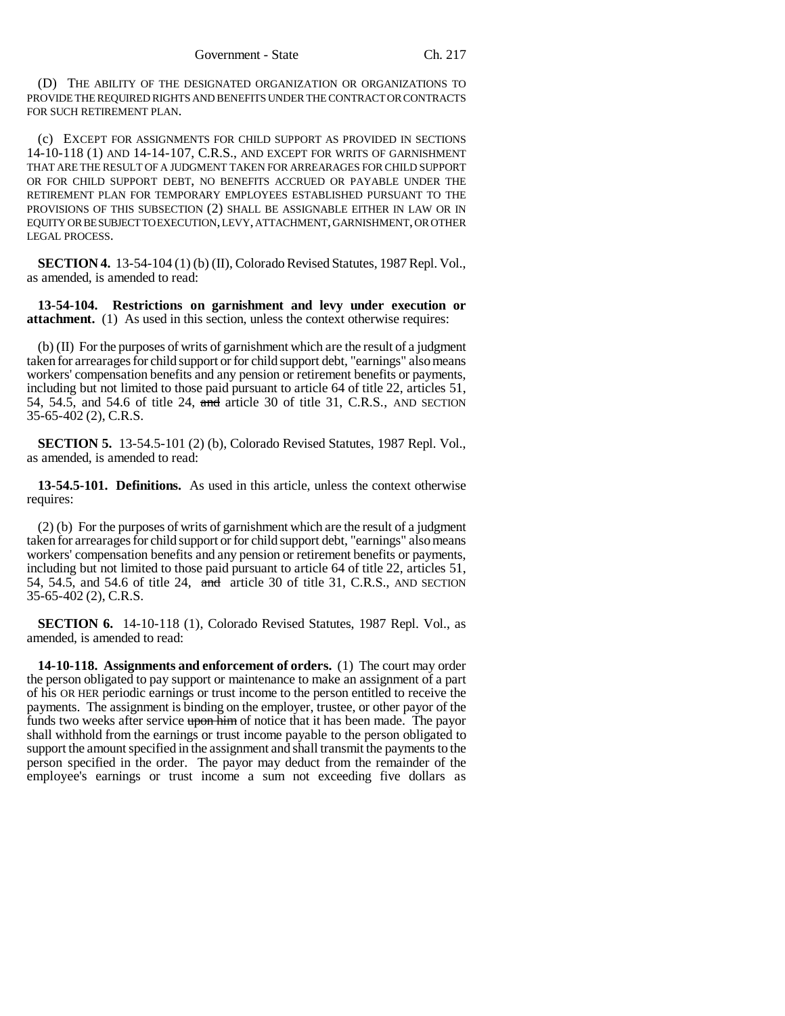(D) THE ABILITY OF THE DESIGNATED ORGANIZATION OR ORGANIZATIONS TO PROVIDE THE REQUIRED RIGHTS AND BENEFITS UNDER THE CONTRACT OR CONTRACTS FOR SUCH RETIREMENT PLAN.

(c) EXCEPT FOR ASSIGNMENTS FOR CHILD SUPPORT AS PROVIDED IN SECTIONS 14-10-118 (1) AND 14-14-107, C.R.S., AND EXCEPT FOR WRITS OF GARNISHMENT THAT ARE THE RESULT OF A JUDGMENT TAKEN FOR ARREARAGES FOR CHILD SUPPORT OR FOR CHILD SUPPORT DEBT, NO BENEFITS ACCRUED OR PAYABLE UNDER THE RETIREMENT PLAN FOR TEMPORARY EMPLOYEES ESTABLISHED PURSUANT TO THE PROVISIONS OF THIS SUBSECTION (2) SHALL BE ASSIGNABLE EITHER IN LAW OR IN EQUITY OR BE SUBJECT TO EXECUTION, LEVY, ATTACHMENT, GARNISHMENT, OR OTHER LEGAL PROCESS.

**SECTION 4.** 13-54-104 (1) (b) (II), Colorado Revised Statutes, 1987 Repl. Vol., as amended, is amended to read:

**13-54-104. Restrictions on garnishment and levy under execution or attachment.** (1) As used in this section, unless the context otherwise requires:

(b) (II) For the purposes of writs of garnishment which are the result of a judgment taken for arrearages for child support or for child support debt, "earnings" also means workers' compensation benefits and any pension or retirement benefits or payments, including but not limited to those paid pursuant to article 64 of title 22, articles 51, 54, 54.5, and 54.6 of title 24, and article 30 of title 31, C.R.S., AND SECTION 35-65-402 (2), C.R.S.

**SECTION 5.** 13-54.5-101 (2) (b), Colorado Revised Statutes, 1987 Repl. Vol., as amended, is amended to read:

**13-54.5-101. Definitions.** As used in this article, unless the context otherwise requires:

(2) (b) For the purposes of writs of garnishment which are the result of a judgment taken for arrearages for child support or for child support debt, "earnings" also means workers' compensation benefits and any pension or retirement benefits or payments, including but not limited to those paid pursuant to article 64 of title 22, articles 51, 54, 54.5, and 54.6 of title 24, and article 30 of title 31, C.R.S., AND SECTION 35-65-402 (2), C.R.S.

**SECTION 6.** 14-10-118 (1), Colorado Revised Statutes, 1987 Repl. Vol., as amended, is amended to read:

**14-10-118. Assignments and enforcement of orders.** (1) The court may order the person obligated to pay support or maintenance to make an assignment of a part of his OR HER periodic earnings or trust income to the person entitled to receive the payments. The assignment is binding on the employer, trustee, or other payor of the funds two weeks after service upon him of notice that it has been made. The payor shall withhold from the earnings or trust income payable to the person obligated to support the amount specified in the assignment and shall transmit the payments to the person specified in the order. The payor may deduct from the remainder of the employee's earnings or trust income a sum not exceeding five dollars as